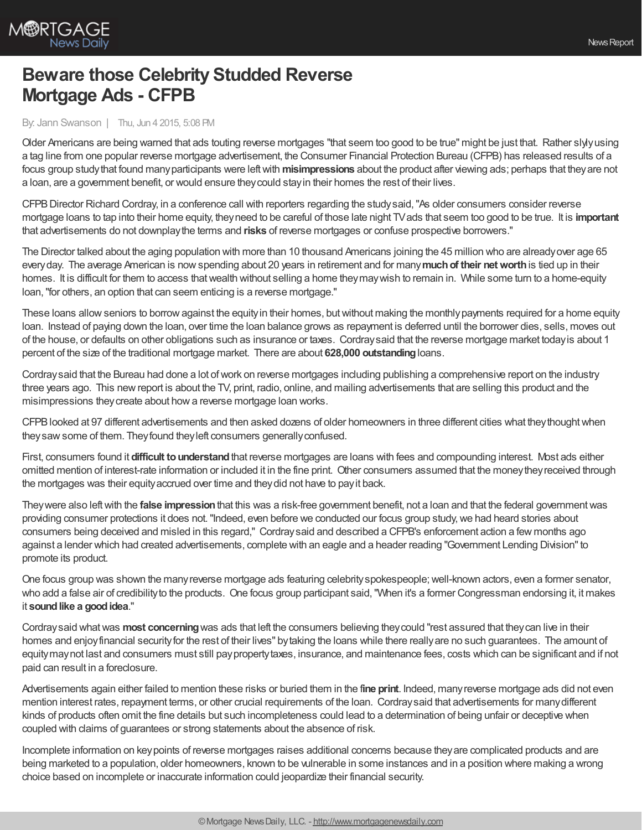

## **Beware those Celebrity Studded Reverse Mortgage Ads - CFPB**

## By: Jann Swanson | Thu, Jun 4 2015, 5:08 PM

Older Americans are being warned that ads touting reverse mortgages "that seem too good to be true" might be just that. Rather slylyusing a tag line from one popular reverse mortgage advertisement, the Consumer Financial Protection Bureau (CFPB) has released results of a focus group study that found many participants were left with misimpressions about the product after viewing ads; perhaps that they are not a loan, are a government benefit, or would ensure theycould stayin their homes the rest of their lives.

CFPBDirector Richard Cordray, in a conference call with reporters regarding the studysaid,"As older consumers consider reverse mortgage loans to tap into their home equity, theyneed to be careful of those late night TVads that seem too good to be true. It is **important** that advertisements do not downplaythe terms and **risks** of reverse mortgages or confuse prospective borrowers."

The Director talked about the aging population with more than 10 thousand Americans joining the 45 million who are alreadyover age 65 everyday. The average American is nowspending about 20 years in retirement and for many**muchof their networth**is tied up in their homes. It is difficult for them to access that wealth without selling a home they may wish to remain in. While some turn to a home-equity loan,"for others, an option that can seem enticing is a reverse mortgage."

These loans allow seniors to borrow against the equity in their homes, but without making the monthly payments required for a home equity loan. Instead of paying down the loan, over time the loan balance grows as repayment is deferred until the borrower dies, sells, moves out of the house, or defaults on other obligations such as insurance or taxes. Cordraysaid that the reverse mortgage market todayis about 1 percent of the size of the traditional mortgage market. There are about **628,000 outstanding**loans.

Cordraysaid that the Bureau had done a lot ofwork on reverse mortgages including publishing a comprehensive report on the industry three years ago. This newreport is about the TV, print, radio, online, and mailing advertisements that are selling this product and the misimpressions they create about how a reverse mortgage loan works.

CFPBlooked at 97 different advertisements and then asked dozens of older homeowners in three different cities what theythoughtwhen they saw some of them. They found they left consumers generally confused.

First, consumers found it **difficult to understand** that reverse mortgages are loans with fees and compounding interest. Most ads either omitted mention of interest-rate information or included it in the fine print. Other consumers assumed that the moneytheyreceived through the mortgages was their equityaccrued over time and theydid not have to payit back.

Theywere also leftwith the **false impression**that this was a risk-free government benefit, not a loan and that the federal governmentwas providing consumer protections it does not. "Indeed, even before we conducted our focus group study, we had heard stories about consumers being deceived and misled in this regard," Cordraysaid and described a CFPB's enforcement action a few months ago against a lender which had created advertisements, complete with an eagle and a header reading "Government Lending Division"to promote its product.

One focus group was shown the many reverse mortgage ads featuring celebrity spokespeople; well-known actors, even a former senator, who add a false air of credibilityto the products. One focus group participant said,"When it's a former Congressman endorsing it, it makes it sound like a good idea."

Cordray said what was most concerning was ads that left the consumers believing they could "rest assured that they can live in their homes and enjoy financial security for the rest of their lives" by taking the loans while there really are no such guarantees. The amount of equitymaynot last and consumers must still paypropertytaxes, insurance, and maintenance fees, costs which can be significant and if not paid can result in a foreclosure.

Advertisements again either failed to mention these risks or buried them in the f**ine print**. Indeed, manyreverse mortgage ads did not even mention interest rates, repayment terms, or other crucial requirements of the loan. Cordraysaid that advertisements for manydifferent kinds of products often omit the fine details but such incompleteness could lead to a determination of being unfair or deceptive when coupled with claims of guarantees or strong statements about the absence of risk.

Incomplete information on keypoints of reverse mortgages raises additional concerns because theyare complicated products and are being marketed to a population, older homeowners, known to be vulnerable in some instances and in a position where making a wrong choice based on incomplete or inaccurate information could jeopardize their financial security.